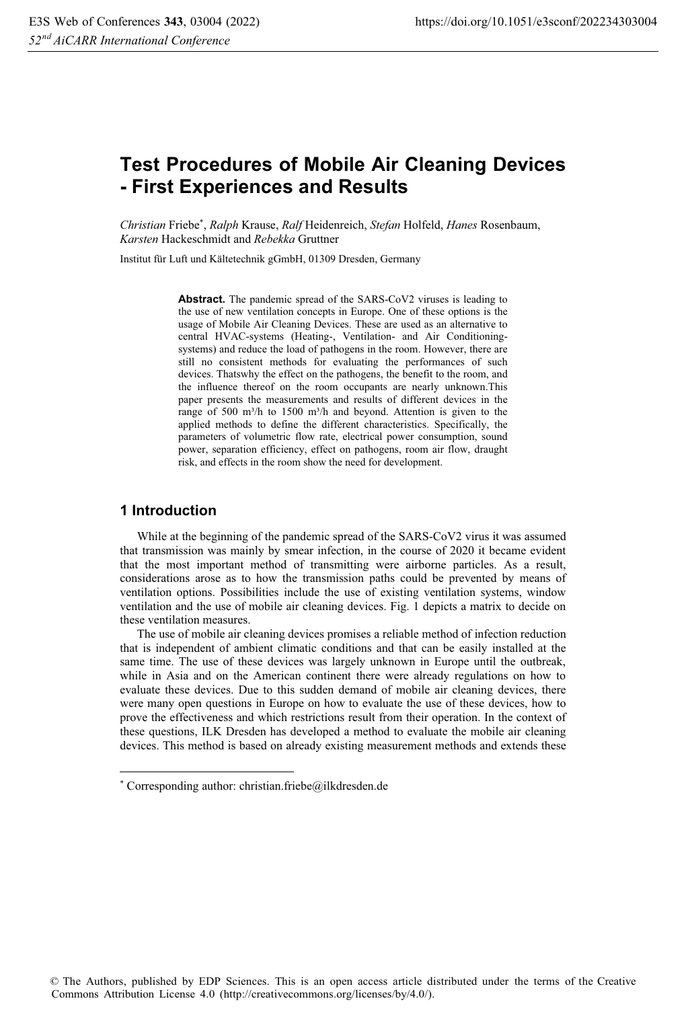# **Test Procedures of Mobile Air Cleaning Devices - First Experiences and Results**

*Christian* Friebe\* , *Ralph* Krause, *Ralf* Heidenreich, *Stefan* Holfeld, *Hanes* Rosenbaum, *Karsten* Hackeschmidt and *Rebekka* Gruttner

Institut für Luft und Kältetechnik gGmbH, 01309 Dresden, Germany

**Abstract.** The pandemic spread of the SARS-CoV2 viruses is leading to the use of new ventilation concepts in Europe. One of these options is the usage of Mobile Air Cleaning Devices. These are used as an alternative to central HVAC-systems (Heating-, Ventilation- and Air Conditioningsystems) and reduce the load of pathogens in the room. However, there are still no consistent methods for evaluating the performances of such devices. Thatswhy the effect on the pathogens, the benefit to the room, and the influence thereof on the room occupants are nearly unknown.This paper presents the measurements and results of different devices in the range of 500 m<sup>3</sup>/h to 1500 m<sup>3</sup>/h and beyond. Attention is given to the applied methods to define the different characteristics. Specifically, the parameters of volumetric flow rate, electrical power consumption, sound power, separation efficiency, effect on pathogens, room air flow, draught risk, and effects in the room show the need for development.

## **1 Introduction**

While at the beginning of the pandemic spread of the SARS-CoV2 virus it was assumed that transmission was mainly by smear infection, in the course of 2020 it became evident that the most important method of transmitting were airborne particles. As a result, considerations arose as to how the transmission paths could be prevented by means of ventilation options. Possibilities include the use of existing ventilation systems, window ventilation and the use of mobile air cleaning devices. Fig. 1 depicts a matrix to decide on these ventilation measures.

The use of mobile air cleaning devices promises a reliable method of infection reduction that is independent of ambient climatic conditions and that can be easily installed at the same time. The use of these devices was largely unknown in Europe until the outbreak, while in Asia and on the American continent there were already regulations on how to evaluate these devices. Due to this sudden demand of mobile air cleaning devices, there were many open questions in Europe on how to evaluate the use of these devices, how to prove the effectiveness and which restrictions result from their operation. In the context of these questions, ILK Dresden has developed a method to evaluate the mobile air cleaning devices. This method is based on already existing measurement methods and extends these

<sup>\*</sup> Corresponding author: christian.friebe@ilkdresden.de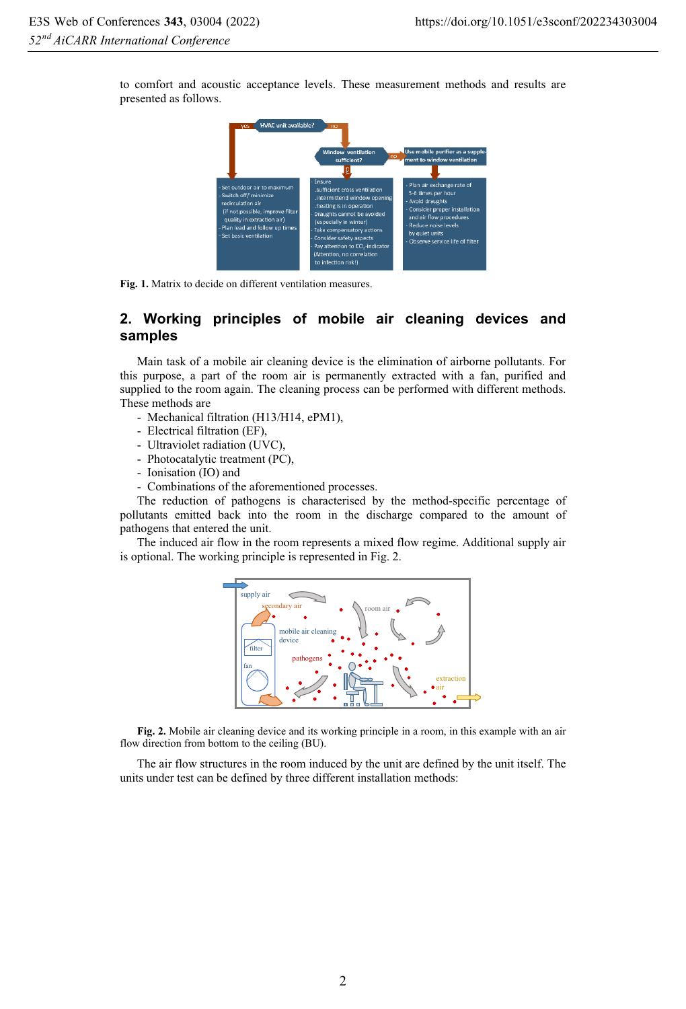to comfort and acoustic acceptance levels. These measurement methods and results are presented as follows.



**Fig. 1.** Matrix to decide on different ventilation measures.

# **2. Working principles of mobile air cleaning devices and samples**

Main task of a mobile air cleaning device is the elimination of airborne pollutants. For this purpose, a part of the room air is permanently extracted with a fan, purified and supplied to the room again. The cleaning process can be performed with different methods. These methods are

- Mechanical filtration (H13/H14, ePM1),
- Electrical filtration (EF),
- Ultraviolet radiation (UVC),
- Photocatalytic treatment (PC),
- Ionisation (IO) and
- Combinations of the aforementioned processes.

The reduction of pathogens is characterised by the method-specific percentage of pollutants emitted back into the room in the discharge compared to the amount of pathogens that entered the unit.

The induced air flow in the room represents a mixed flow regime. Additional supply air is optional. The working principle is represented in Fig. 2.



**Fig. 2.** Mobile air cleaning device and its working principle in a room, in this example with an air flow direction from bottom to the ceiling (BU).

The air flow structures in the room induced by the unit are defined by the unit itself. The units under test can be defined by three different installation methods: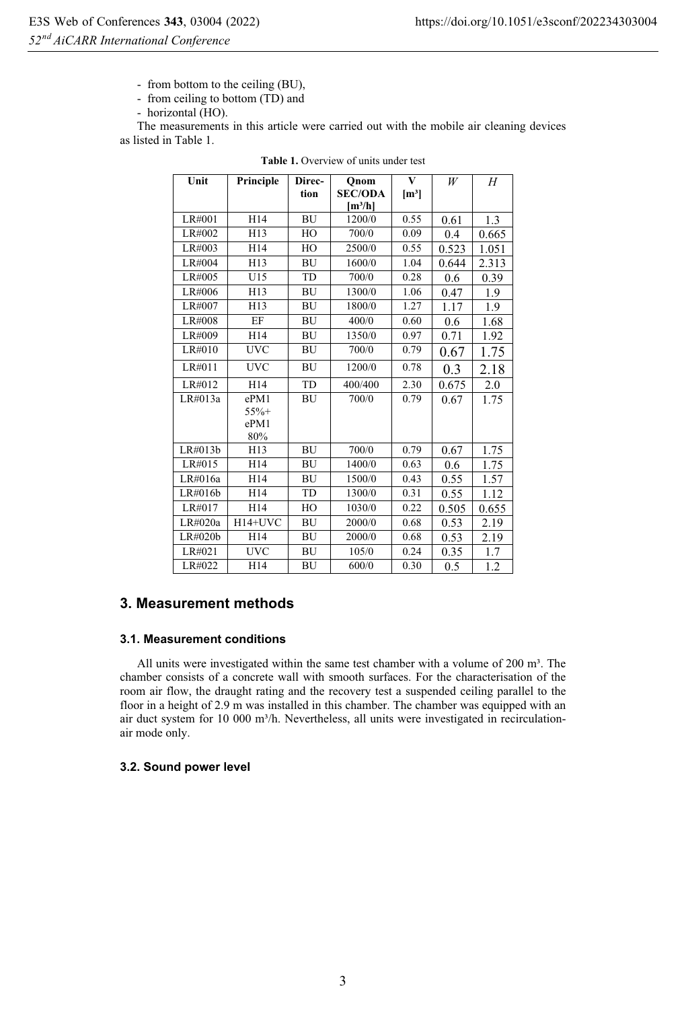- from bottom to the ceiling (BU),

- from ceiling to bottom (TD) and

- horizontal (HO).

The measurements in this article were carried out with the mobile air cleaning devices as listed in Table 1.

| Unit       | Principle  | Direc-    | Onom                | $\overline{\mathbf{V}}$ | W     | Н     |
|------------|------------|-----------|---------------------|-------------------------|-------|-------|
|            |            | tion      | <b>SEC/ODA</b>      | $\mathbf{m}^3$          |       |       |
|            |            |           | [m <sup>3</sup> /h] |                         |       |       |
| LR#001     | H14        | <b>BU</b> | 1200/0              | 0.55                    | 0.61  | 1.3   |
| LR#002     | H13        | HO        | 700/0               | 0.09                    | 0.4   | 0.665 |
| $LR\#003$  | H14        | HO        | 2500/0              | 0.55                    | 0.523 | 1.051 |
| LR#004     | H13        | BU        | 1600/0              | 1.04                    | 0.644 | 2.313 |
| LR#005     | U15        | TD        | 700/0               | 0.28                    | 0.6   | 0.39  |
| LR#006     | H13        | <b>BU</b> | 1300/0              | 1.06                    | 0.47  | 1.9   |
| LR#007     | H13        | <b>BU</b> | 1800/0              | 1.27                    | 1.17  | 1.9   |
| LR#008     | EF         | <b>BU</b> | 400/0               | 0.60                    | 0.6   | 1.68  |
| LR#009     | H14        | <b>BU</b> | 1350/0              | 0.97                    | 0.71  | 1.92  |
| LR#010     | <b>UVC</b> | BU        | 700/0               | 0.79                    | 0.67  | 1.75  |
| LR#011     | <b>UVC</b> | <b>BU</b> | 1200/0              | 0.78                    | 0.3   | 2.18  |
| LR#012     | H14        | TD        | 400/400             | 2.30                    | 0.675 | 2.0   |
| LR#013a    | ePM1       | BU        | 700/0               | 0.79                    | 0.67  | 1.75  |
|            | $55% +$    |           |                     |                         |       |       |
|            | ePM1       |           |                     |                         |       |       |
|            | 80%        |           |                     |                         |       |       |
| LR#013b    | H13        | <b>BU</b> | 700/0               | 0.79                    | 0.67  | 1.75  |
| LR#015     | H14        | BU        | 1400/0              | 0.63                    | 0.6   | 1.75  |
| LR#016a    | H14        | <b>BU</b> | 1500/0              | 0.43                    | 0.55  | 1.57  |
| LR#016b    | H14        | TD        | 1300/0              | 0.31                    | 0.55  | 1.12  |
| LR#017     | H14        | HO        | 1030/0              | 0.22                    | 0.505 | 0.655 |
| $LR\#020a$ | $H14+UVC$  | BU        | 2000/0              | 0.68                    | 0.53  | 2.19  |
| LR#020b    | H14        | BU        | 2000/0              | 0.68                    | 0.53  | 2.19  |
| LR#021     | <b>UVC</b> | <b>BU</b> | 105/0               | 0.24                    | 0.35  | 1.7   |
| LR#022     | H14        | BU        | 600/0               | 0.30                    | 0.5   | 1.2   |

#### **Table 1.** Overview of units under test

# **3. Measurement methods**

#### **3.1. Measurement conditions**

All units were investigated within the same test chamber with a volume of 200 m<sup>3</sup>. The chamber consists of a concrete wall with smooth surfaces. For the characterisation of the room air flow, the draught rating and the recovery test a suspended ceiling parallel to the floor in a height of 2.9 m was installed in this chamber. The chamber was equipped with an air duct system for 10 000 m<sup>3</sup>/h. Nevertheless, all units were investigated in recirculationair mode only.

## **3.2. Sound power level**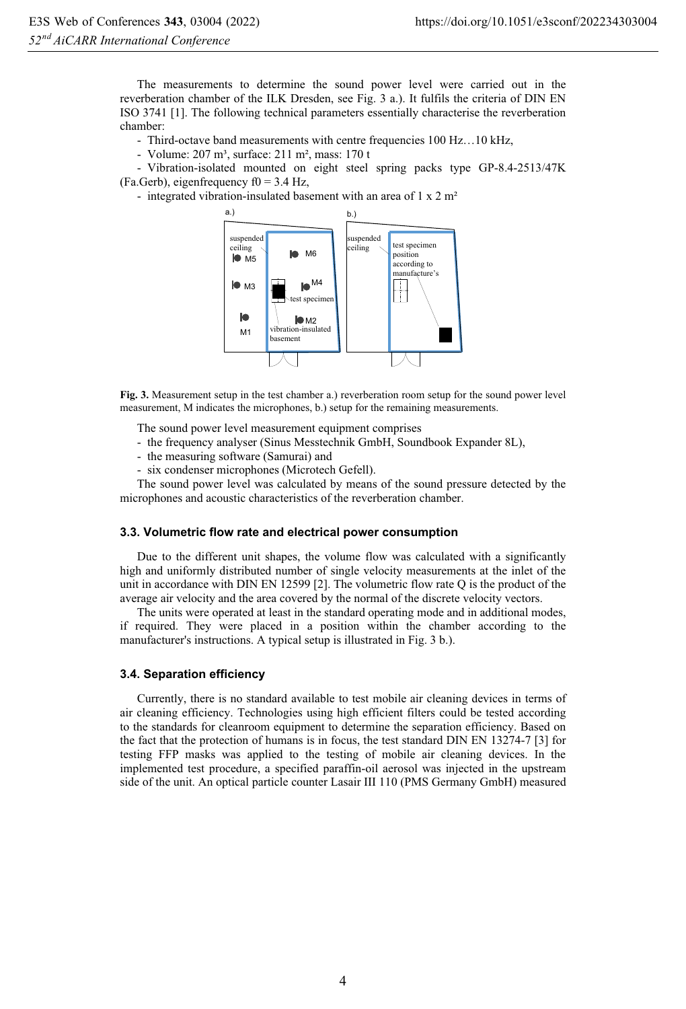The measurements to determine the sound power level were carried out in the reverberation chamber of the ILK Dresden, see Fig. 3 a.). It fulfils the criteria of DIN EN ISO 3741 [1]. The following technical parameters essentially characterise the reverberation chamber:

- Third-octave band measurements with centre frequencies 100 Hz…10 kHz,

Volume: 207 m<sup>3</sup>, surface: 211 m<sup>2</sup>, mass: 170 t

- Vibration-isolated mounted on eight steel spring packs type GP-8.4-2513/47K (Fa.Gerb), eigenfrequency  $f0 = 3.4$  Hz,

- integrated vibration-insulated basement with an area of 1 x 2 m<sup>2</sup>



**Fig. 3.** Measurement setup in the test chamber a.) reverberation room setup for the sound power level measurement, M indicates the microphones, b.) setup for the remaining measurements.

The sound power level measurement equipment comprises

- the frequency analyser (Sinus Messtechnik GmbH, Soundbook Expander 8L),
- the measuring software (Samurai) and
- six condenser microphones (Microtech Gefell).

The sound power level was calculated by means of the sound pressure detected by the microphones and acoustic characteristics of the reverberation chamber.

#### **3.3. Volumetric flow rate and electrical power consumption**

Due to the different unit shapes, the volume flow was calculated with a significantly high and uniformly distributed number of single velocity measurements at the inlet of the unit in accordance with DIN EN 12599 [2]. The volumetric flow rate Q is the product of the average air velocity and the area covered by the normal of the discrete velocity vectors.

The units were operated at least in the standard operating mode and in additional modes, if required. They were placed in a position within the chamber according to the manufacturer's instructions. A typical setup is illustrated in Fig. 3 b.).

#### **3.4. Separation efficiency**

Currently, there is no standard available to test mobile air cleaning devices in terms of air cleaning efficiency. Technologies using high efficient filters could be tested according to the standards for cleanroom equipment to determine the separation efficiency. Based on the fact that the protection of humans is in focus, the test standard DIN EN 13274-7 [3] for testing FFP masks was applied to the testing of mobile air cleaning devices. In the implemented test procedure, a specified paraffin-oil aerosol was injected in the upstream side of the unit. An optical particle counter Lasair III 110 (PMS Germany GmbH) measured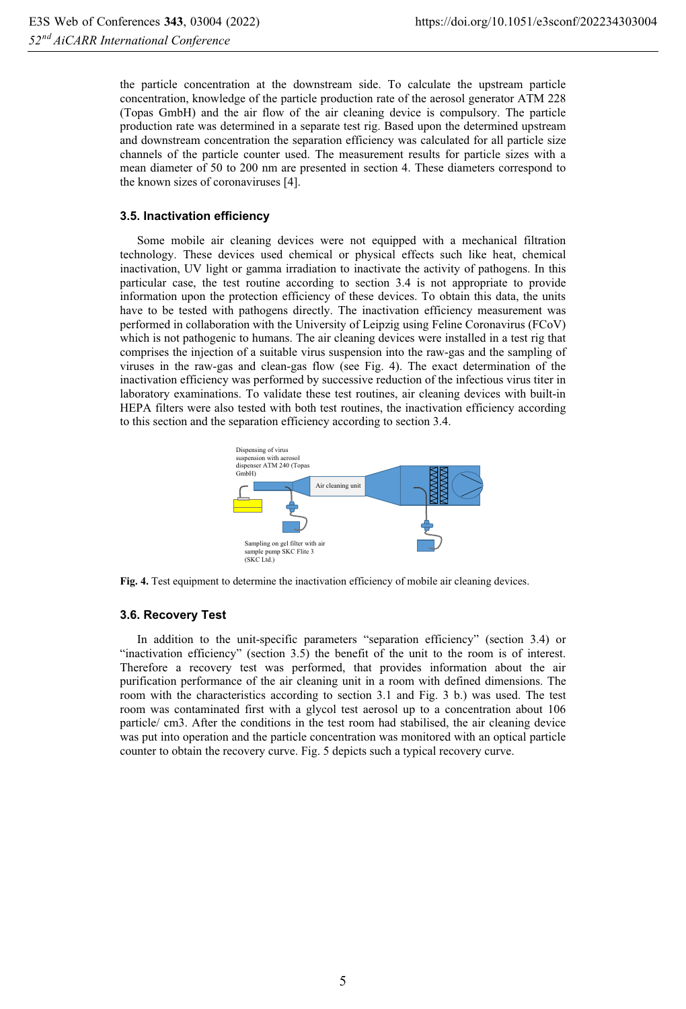the particle concentration at the downstream side. To calculate the upstream particle concentration, knowledge of the particle production rate of the aerosol generator ATM 228 (Topas GmbH) and the air flow of the air cleaning device is compulsory. The particle production rate was determined in a separate test rig. Based upon the determined upstream and downstream concentration the separation efficiency was calculated for all particle size channels of the particle counter used. The measurement results for particle sizes with a mean diameter of 50 to 200 nm are presented in section 4. These diameters correspond to the known sizes of coronaviruses [4].

#### **3.5. Inactivation efficiency**

Some mobile air cleaning devices were not equipped with a mechanical filtration technology. These devices used chemical or physical effects such like heat, chemical inactivation, UV light or gamma irradiation to inactivate the activity of pathogens. In this particular case, the test routine according to section 3.4 is not appropriate to provide information upon the protection efficiency of these devices. To obtain this data, the units have to be tested with pathogens directly. The inactivation efficiency measurement was performed in collaboration with the University of Leipzig using Feline Coronavirus (FCoV) which is not pathogenic to humans. The air cleaning devices were installed in a test rig that comprises the injection of a suitable virus suspension into the raw-gas and the sampling of viruses in the raw-gas and clean-gas flow (see Fig. 4). The exact determination of the inactivation efficiency was performed by successive reduction of the infectious virus titer in laboratory examinations. To validate these test routines, air cleaning devices with built-in HEPA filters were also tested with both test routines, the inactivation efficiency according to this section and the separation efficiency according to section 3.4.



**Fig. 4.** Test equipment to determine the inactivation efficiency of mobile air cleaning devices.

#### **3.6. Recovery Test**

In addition to the unit-specific parameters "separation efficiency" (section 3.4) or "inactivation efficiency" (section 3.5) the benefit of the unit to the room is of interest. Therefore a recovery test was performed, that provides information about the air purification performance of the air cleaning unit in a room with defined dimensions. The room with the characteristics according to section 3.1 and Fig. 3 b.) was used. The test room was contaminated first with a glycol test aerosol up to a concentration about 106 particle/ cm3. After the conditions in the test room had stabilised, the air cleaning device was put into operation and the particle concentration was monitored with an optical particle counter to obtain the recovery curve. Fig. 5 depicts such a typical recovery curve.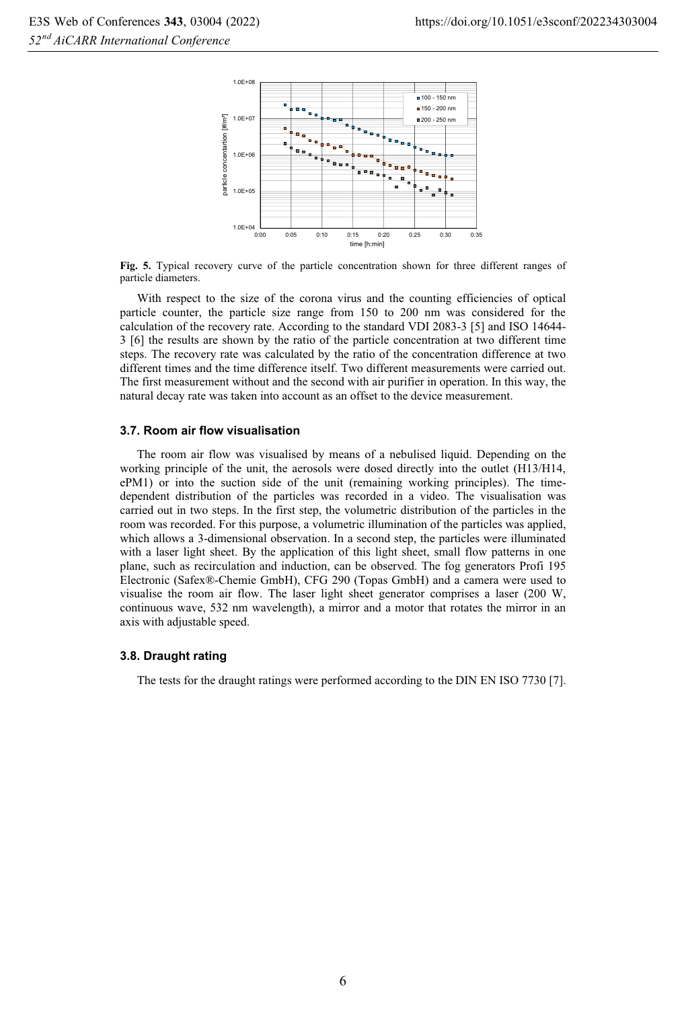

**Fig. 5.** Typical recovery curve of the particle concentration shown for three different ranges of particle diameters.

With respect to the size of the corona virus and the counting efficiencies of optical particle counter, the particle size range from 150 to 200 nm was considered for the calculation of the recovery rate. According to the standard VDI 2083-3 [5] and ISO 14644- 3 [6] the results are shown by the ratio of the particle concentration at two different time steps. The recovery rate was calculated by the ratio of the concentration difference at two different times and the time difference itself. Two different measurements were carried out. The first measurement without and the second with air purifier in operation. In this way, the natural decay rate was taken into account as an offset to the device measurement.

#### **3.7. Room air flow visualisation**

The room air flow was visualised by means of a nebulised liquid. Depending on the working principle of the unit, the aerosols were dosed directly into the outlet (H13/H14, ePM1) or into the suction side of the unit (remaining working principles). The timedependent distribution of the particles was recorded in a video. The visualisation was carried out in two steps. In the first step, the volumetric distribution of the particles in the room was recorded. For this purpose, a volumetric illumination of the particles was applied, which allows a 3-dimensional observation. In a second step, the particles were illuminated with a laser light sheet. By the application of this light sheet, small flow patterns in one plane, such as recirculation and induction, can be observed. The fog generators Profi 195 Electronic (Safex®-Chemie GmbH), CFG 290 (Topas GmbH) and a camera were used to visualise the room air flow. The laser light sheet generator comprises a laser (200 W, continuous wave, 532 nm wavelength), a mirror and a motor that rotates the mirror in an axis with adjustable speed.

#### **3.8. Draught rating**

The tests for the draught ratings were performed according to the DIN EN ISO 7730 [7].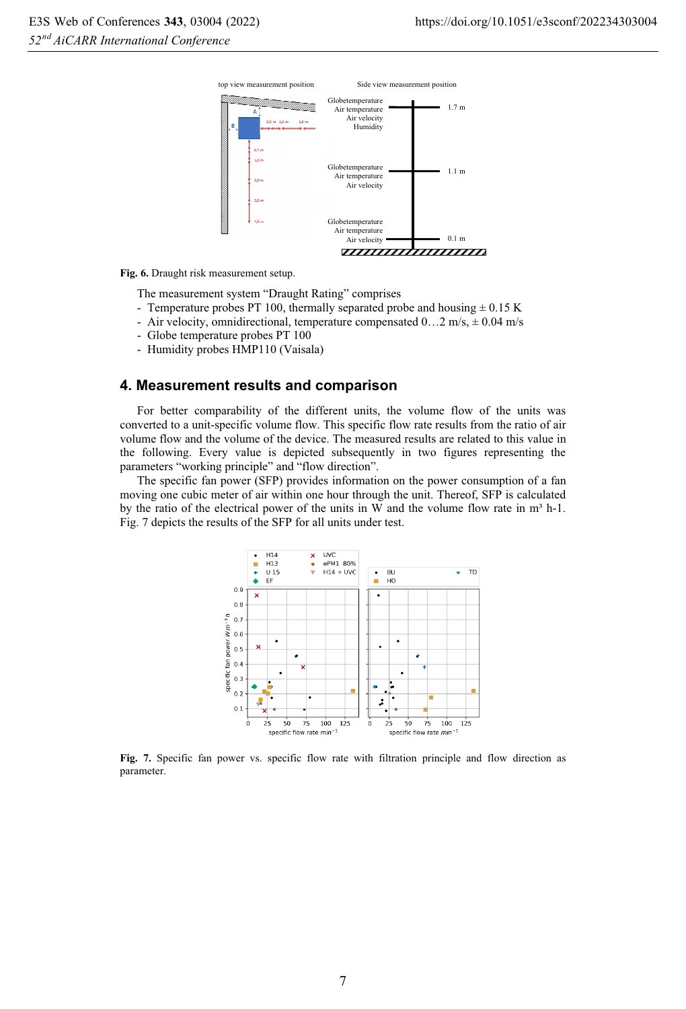

**Fig. 6.** Draught risk measurement setup.

The measurement system "Draught Rating" comprises

- Temperature probes PT 100, thermally separated probe and housing  $\pm$  0.15 K
- Air velocity, omnidirectional, temperature compensated  $0...2$  m/s,  $\pm 0.04$  m/s
- Globe temperature probes PT 100
- Humidity probes HMP110 (Vaisala)

# **4. Measurement results and comparison**

For better comparability of the different units, the volume flow of the units was converted to a unit-specific volume flow. This specific flow rate results from the ratio of air volume flow and the volume of the device. The measured results are related to this value in the following. Every value is depicted subsequently in two figures representing the parameters "working principle" and "flow direction".

The specific fan power (SFP) provides information on the power consumption of a fan moving one cubic meter of air within one hour through the unit. Thereof, SFP is calculated by the ratio of the electrical power of the units in W and the volume flow rate in  $m<sup>3</sup> h-1$ . Fig. 7 depicts the results of the SFP for all units under test.



**Fig. 7.** Specific fan power vs. specific flow rate with filtration principle and flow direction as parameter.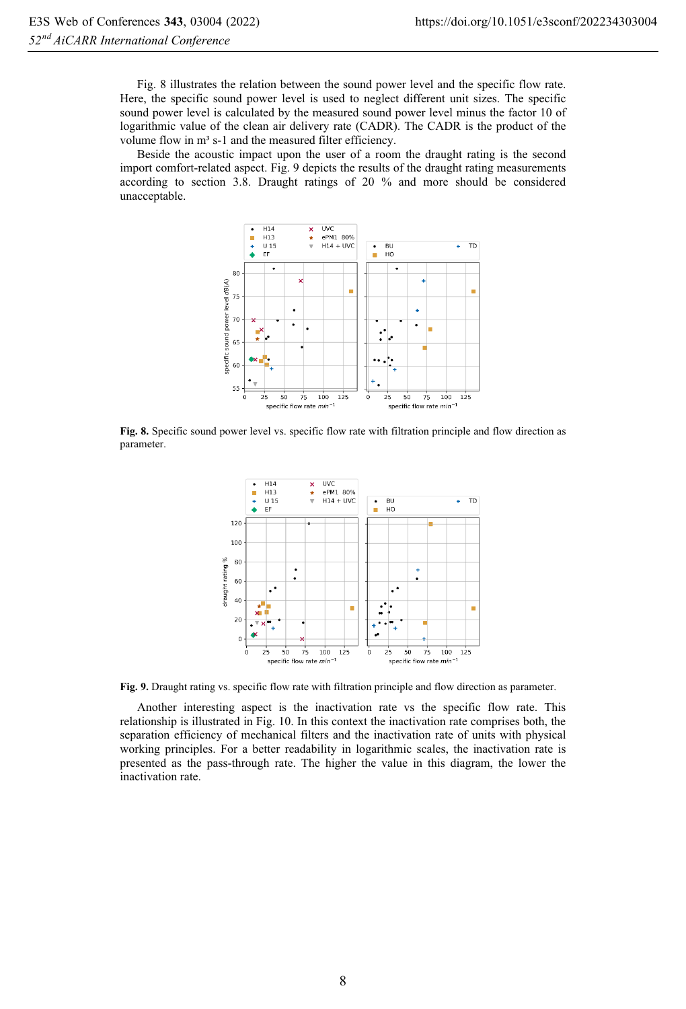Fig. 8 illustrates the relation between the sound power level and the specific flow rate. Here, the specific sound power level is used to neglect different unit sizes. The specific sound power level is calculated by the measured sound power level minus the factor 10 of logarithmic value of the clean air delivery rate (CADR). The CADR is the product of the volume flow in m<sup>3</sup> s-1 and the measured filter efficiency.

Beside the acoustic impact upon the user of a room the draught rating is the second import comfort-related aspect. Fig. 9 depicts the results of the draught rating measurements according to section 3.8. Draught ratings of 20 % and more should be considered unacceptable.



**Fig. 8.** Specific sound power level vs. specific flow rate with filtration principle and flow direction as parameter.



**Fig. 9.** Draught rating vs. specific flow rate with filtration principle and flow direction as parameter.

Another interesting aspect is the inactivation rate vs the specific flow rate. This relationship is illustrated in Fig. 10. In this context the inactivation rate comprises both, the separation efficiency of mechanical filters and the inactivation rate of units with physical working principles. For a better readability in logarithmic scales, the inactivation rate is presented as the pass-through rate. The higher the value in this diagram, the lower the inactivation rate.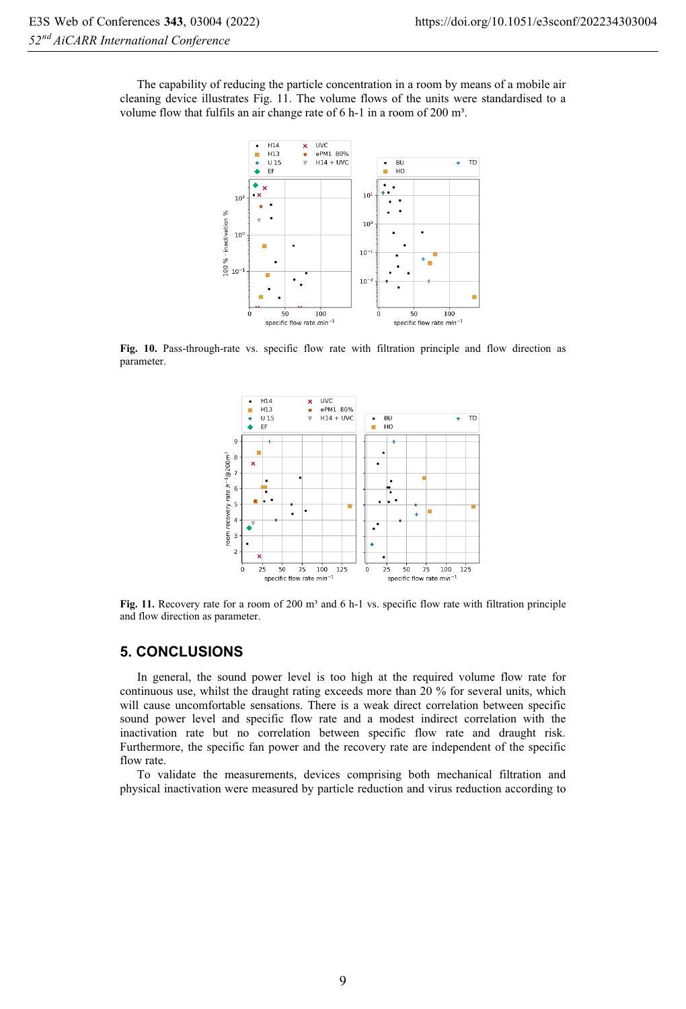The capability of reducing the particle concentration in a room by means of a mobile air cleaning device illustrates Fig. 11. The volume flows of the units were standardised to a volume flow that fulfils an air change rate of 6 h-1 in a room of 200 m<sup>3</sup>.



**Fig. 10.** Pass-through-rate vs. specific flow rate with filtration principle and flow direction as parameter.



Fig. 11. Recovery rate for a room of 200 m<sup>3</sup> and 6 h-1 vs. specific flow rate with filtration principle and flow direction as parameter.

## **5. CONCLUSIONS**

In general, the sound power level is too high at the required volume flow rate for continuous use, whilst the draught rating exceeds more than 20 % for several units, which will cause uncomfortable sensations. There is a weak direct correlation between specific sound power level and specific flow rate and a modest indirect correlation with the inactivation rate but no correlation between specific flow rate and draught risk. Furthermore, the specific fan power and the recovery rate are independent of the specific flow rate.

To validate the measurements, devices comprising both mechanical filtration and physical inactivation were measured by particle reduction and virus reduction according to